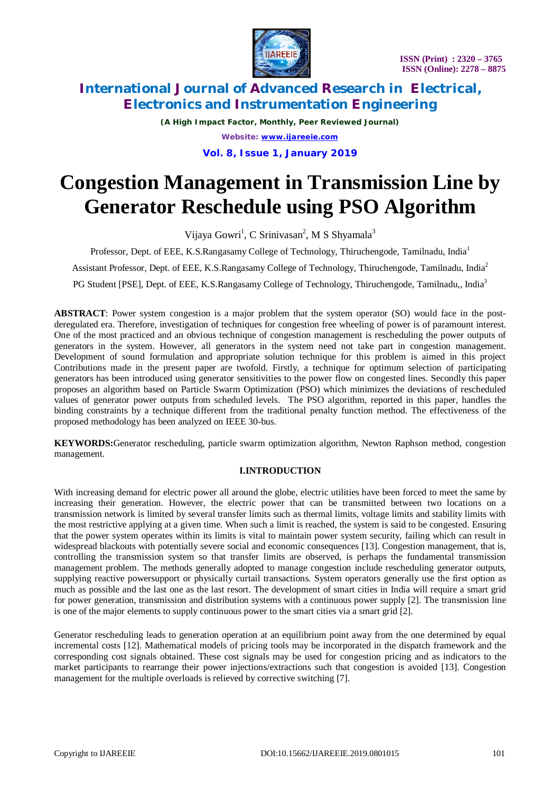

*(A High Impact Factor, Monthly, Peer Reviewed Journal) Website: [www.ijareeie.com](http://www.ijareeie.com)*

**Vol. 8, Issue 1, January 2019**

# **Congestion Management in Transmission Line by Generator Reschedule using PSO Algorithm**

Vijaya Gowri<sup>1</sup>, C Srinivasan<sup>2</sup>, M S Shyamala<sup>3</sup>

Professor, Dept. of EEE, K.S.Rangasamy College of Technology, Thiruchengode, Tamilnadu, India<sup>1</sup>

Assistant Professor, Dept. of EEE, K.S.Rangasamy College of Technology, Thiruchengode, Tamilnadu, India<sup>2</sup>

PG Student [PSE], Dept. of EEE, K.S.Rangasamy College of Technology, Thiruchengode, Tamilnadu,, India<sup>3</sup>

**ABSTRACT**: Power system congestion is a major problem that the system operator (SO) would face in the postderegulated era. Therefore, investigation of techniques for congestion free wheeling of power is of paramount interest. One of the most practiced and an obvious technique of congestion management is rescheduling the power outputs of generators in the system. However, all generators in the system need not take part in congestion management. Development of sound formulation and appropriate solution technique for this problem is aimed in this project Contributions made in the present paper are twofold. Firstly, a technique for optimum selection of participating generators has been introduced using generator sensitivities to the power flow on congested lines. Secondly this paper proposes an algorithm based on Particle Swarm Optimization (PSO) which minimizes the deviations of rescheduled values of generator power outputs from scheduled levels. The PSO algorithm, reported in this paper, handles the binding constraints by a technique different from the traditional penalty function method. The effectiveness of the proposed methodology has been analyzed on IEEE 30-bus.

**KEYWORDS:**Generator rescheduling, particle swarm optimization algorithm, Newton Raphson method, congestion management.

### **I.INTRODUCTION**

With increasing demand for electric power all around the globe, electric utilities have been forced to meet the same by increasing their generation. However, the electric power that can be transmitted between two locations on a transmission network is limited by several transfer limits such as thermal limits, voltage limits and stability limits with the most restrictive applying at a given time. When such a limit is reached, the system is said to be congested. Ensuring that the power system operates within its limits is vital to maintain power system security, failing which can result in widespread blackouts with potentially severe social and economic consequences [13]. Congestion management, that is, controlling the transmission system so that transfer limits are observed, is perhaps the fundamental transmission management problem. The methods generally adopted to manage congestion include rescheduling generator outputs, supplying reactive powersupport or physically curtail transactions. System operators generally use the first option as much as possible and the last one as the last resort. The development of smart cities in India will require a smart grid for power generation, transmission and distribution systems with a continuous power supply [2]. The transmission line is one of the major elements to supply continuous power to the smart cities via a smart grid [2].

Generator rescheduling leads to generation operation at an equilibrium point away from the one determined by equal incremental costs [12]. Mathematical models of pricing tools may be incorporated in the dispatch framework and the corresponding cost signals obtained. These cost signals may be used for congestion pricing and as indicators to the market participants to rearrange their power injections/extractions such that congestion is avoided [13]. Congestion management for the multiple overloads is relieved by corrective switching [7].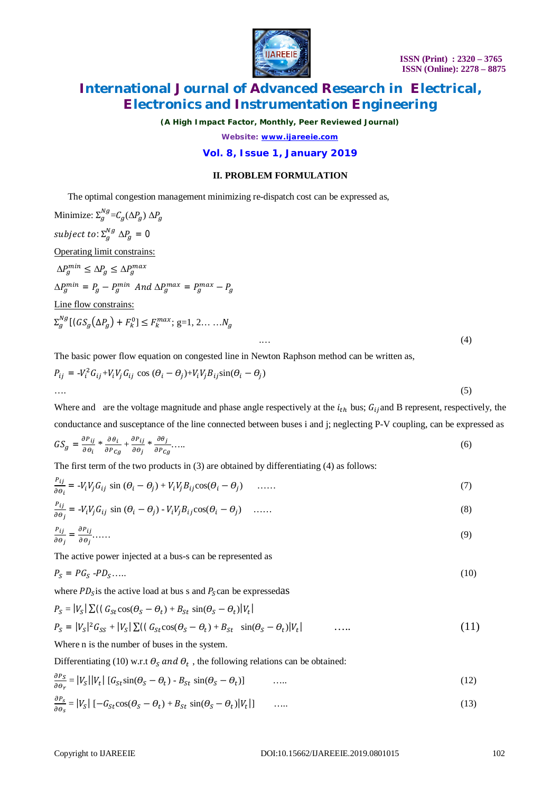

*(A High Impact Factor, Monthly, Peer Reviewed Journal)*

*Website: [www.ijareeie.com](http://www.ijareeie.com)*

### **Vol. 8, Issue 1, January 2019**

### **II. PROBLEM FORMULATION**

The optimal congestion management minimizing re-dispatch cost can be expressed as,

Minimize:  $\Sigma_g^{Ng} = C_g(\Delta P_g) \Delta P_g$ subject to:  $\Sigma_g^{Ng}$   $\Delta P_g = 0$ Operating limit constrains:  $\Delta P_g^{min} \leq \Delta P_g \leq \Delta P_g^{max}$  $\Delta P_g^{min} = P_g - P_g^{min}$  And  $\Delta P_g^{max} = P_g^{max} - P_g$ Line flow constrains:  $\Sigma_g^{Ng}[(GS_g(\Delta P_g) + F_k^0] \leq F_k^{max}; g=1, 2, \ldots, N_g]$  $\cdots$  (4) The basic power flow equation on congested line in Newton Raphson method can be written as,

$$
P_{ij} = -V_i^2 G_{ij} + V_i V_j G_{ij} \cos (\theta_i - \theta_j) + V_i V_j B_{ij} \sin(\theta_i - \theta_j)
$$
  
.... (5)

Where and are the voltage magnitude and phase angle respectively at the  $i_{th}$  bus;  $G_{ij}$  and B represent, respectively, the conductance and susceptance of the line connected between buses i and j; neglecting P-V coupling, can be expressed as

$$
GS_g = \frac{\partial P_{ij}}{\partial \theta_i} * \frac{\partial \theta_i}{\partial P_{Cg}} + \frac{\partial P_{ij}}{\partial \theta_j} * \frac{\partial \theta_j}{\partial P_{Cg}} \dots \tag{6}
$$

The first term of the two products in (3) are obtained by differentiating (4) as follows:

$$
\frac{P_{ij}}{\partial \theta_i} = -V_i V_j G_{ij} \sin (\theta_i - \theta_j) + V_i V_j B_{ij} \cos(\theta_i - \theta_j) \quad \dots \tag{7}
$$

$$
\frac{P_{ij}}{\partial \theta_j} = -V_i V_j G_{ij} \sin (\theta_i - \theta_j) - V_i V_j B_{ij} \cos(\theta_i - \theta_j) \quad \dots \dots \tag{8}
$$

$$
\frac{P_{ij}}{\partial \theta_j} = \frac{\partial P_{ij}}{\partial \theta_j} \dots \tag{9}
$$

The active power injected at a bus-s can be represented as

$$
P_S = PG_S - PD_S \tag{10}
$$

where  $PD_s$  is the active load at bus s and  $P_s$ can be expressedas

$$
P_S = |V_S| \sum ((G_{St} \cos(\theta_S - \theta_t) + B_{St} \sin(\theta_S - \theta_t) | V_t|)
$$
  
\n
$$
P_S = |V_S|^2 G_{SS} + |V_S| \sum ((G_{St} \cos(\theta_S - \theta_t) + B_{St} \sin(\theta_S - \theta_t) | V_t|)
$$
 ...... (11)

Where n is the number of buses in the system.

Differentiating (10) w.r.t  $\theta_s$  and  $\theta_t$ , the following relations can be obtained:

$$
\frac{\partial P_S}{\partial \theta_r} = |V_S||V_t| \left[ G_{St} \sin(\theta_S - \theta_t) - B_{St} \sin(\theta_S - \theta_t) \right] \tag{12}
$$

$$
\frac{\partial P_S}{\partial \theta_S} = |V_S| \left[ -G_{St} \cos(\theta_S - \theta_t) + B_{St} \sin(\theta_S - \theta_t) |V_t| \right] \qquad \dots \tag{13}
$$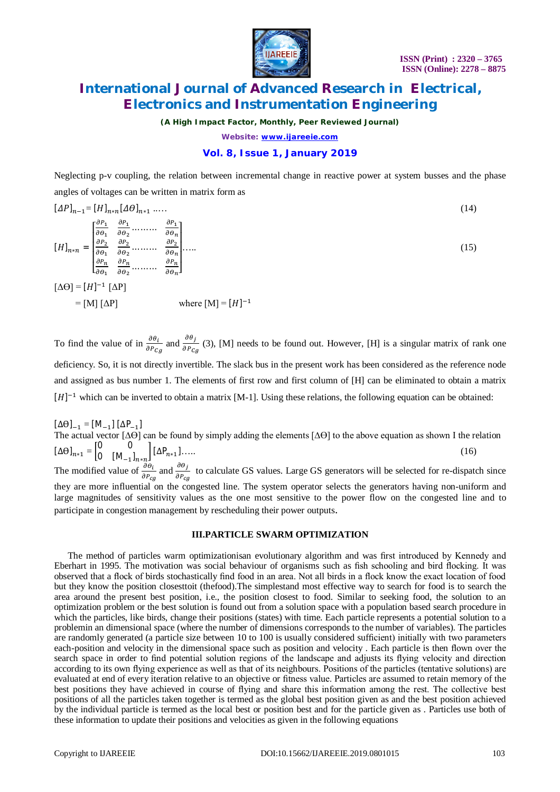

*(A High Impact Factor, Monthly, Peer Reviewed Journal)*

*Website: [www.ijareeie.com](http://www.ijareeie.com)*

### **Vol. 8, Issue 1, January 2019**

Neglecting p-v coupling, the relation between incremental change in reactive power at system busses and the phase angles of voltages can be written in matrix form as

$$
[\Delta P]_{n-1} = [H]_{n*n} [\Delta \theta]_{n+1} \dots
$$
\n
$$
[H]_{n*n} = \begin{bmatrix} \frac{\partial P_1}{\partial \theta_1} & \frac{\partial P_1}{\partial \theta_2} & \dots & \frac{\partial P_1}{\partial \theta_n} \\ \frac{\partial P_2}{\partial \theta_1} & \frac{\partial P_2}{\partial \theta_2} & \dots & \frac{\partial P_2}{\partial \theta_n} \\ \frac{\partial P_n}{\partial \theta_1} & \frac{\partial P_n}{\partial \theta_2} & \dots & \frac{\partial P_n}{\partial \theta_n} \end{bmatrix}
$$
\n
$$
[\Delta \Theta] = [H]^{-1} [\Delta P]
$$
\n
$$
= [M] [\Delta P]
$$
\nwhere  $[M] = [H]^{-1}$ 

To find the value of in  $\frac{\partial \theta_i}{\partial P_{C_g}}$  and  $\frac{\partial \theta_j}{\partial P_{C_g}}$  $\frac{\partial f}{\partial P_{cg}}$  (3), [M] needs to be found out. However, [H] is a singular matrix of rank one deficiency. So, it is not directly invertible. The slack bus in the present work has been considered as the reference node and assigned as bus number 1. The elements of first row and first column of [H] can be eliminated to obtain a matrix  $[H]$ <sup>-1</sup> which can be inverted to obtain a matrix [M-1]. Using these relations, the following equation can be obtained:

 $[\Delta\Theta]_{-1} = [M_{-1}] [\Delta P_{-1}]$ The actual vector [∆ϴ] can be found by simply adding the elements [∆ϴ] to the above equation as shown I the relation  $[\Delta \Theta]_{n \times 1} = \begin{bmatrix} 0 & 0 \\ 0 & [M] \end{bmatrix}$  $0 \left[ M_{-1} \right]_{n \ast n} \left[ \Delta P_{n \ast 1} \right] \dots$  (16) The modified value of  $\frac{\partial \theta_i}{\partial P_{cg}}$  and  $\frac{\partial \theta_j}{\partial P_{cg}}$  $\frac{\partial^2 f}{\partial P_{cg}}$  to calculate GS values. Large GS generators will be selected for re-dispatch since they are more influential on the congested line. The system operator selects the generators having non-uniform and large magnitudes of sensitivity values as the one most sensitive to the power flow on the congested line and to participate in congestion management by rescheduling their power outputs.

#### **III.PARTICLE SWARM OPTIMIZATION**

The method of particles warm optimizationisan evolutionary algorithm and was first introduced by Kennedy and Eberhart in 1995. The motivation was social behaviour of organisms such as fish schooling and bird flocking. It was observed that a flock of birds stochastically find food in an area. Not all birds in a flock know the exact location of food but they know the position closesttoit (thefood).The simplestand most effective way to search for food is to search the area around the present best position, i.e., the position closest to food. Similar to seeking food, the solution to an optimization problem or the best solution is found out from a solution space with a population based search procedure in which the particles, like birds, change their positions (states) with time. Each particle represents a potential solution to a problemin an dimensional space (where the number of dimensions corresponds to the number of variables). The particles are randomly generated (a particle size between 10 to 100 is usually considered sufficient) initially with two parameters each-position and velocity in the dimensional space such as position and velocity . Each particle is then flown over the search space in order to find potential solution regions of the landscape and adjusts its flying velocity and direction according to its own flying experience as well as that of its neighbours. Positions of the particles (tentative solutions) are evaluated at end of every iteration relative to an objective or fitness value. Particles are assumed to retain memory of the best positions they have achieved in course of flying and share this information among the rest. The collective best positions of all the particles taken together is termed as the global best position given as and the best position achieved by the individual particle is termed as the local best or position best and for the particle given as . Particles use both of these information to update their positions and velocities as given in the following equations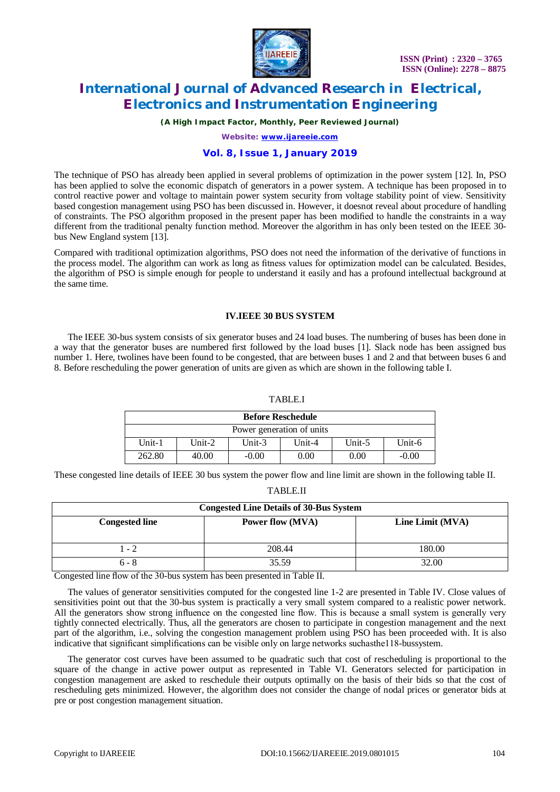

*(A High Impact Factor, Monthly, Peer Reviewed Journal)*

*Website: [www.ijareeie.com](http://www.ijareeie.com)*

#### **Vol. 8, Issue 1, January 2019**

The technique of PSO has already been applied in several problems of optimization in the power system [12]. In, PSO has been applied to solve the economic dispatch of generators in a power system. A technique has been proposed in to control reactive power and voltage to maintain power system security from voltage stability point of view. Sensitivity based congestion management using PSO has been discussed in. However, it doesnot reveal about procedure of handling of constraints. The PSO algorithm proposed in the present paper has been modified to handle the constraints in a way different from the traditional penalty function method. Moreover the algorithm in has only been tested on the IEEE 30 bus New England system [13].

Compared with traditional optimization algorithms, PSO does not need the information of the derivative of functions in the process model. The algorithm can work as long as fitness values for optimization model can be calculated. Besides, the algorithm of PSO is simple enough for people to understand it easily and has a profound intellectual background at the same time.

#### **IV.IEEE 30 BUS SYSTEM**

The IEEE 30-bus system consists of six generator buses and 24 load buses. The numbering of buses has been done in a way that the generator buses are numbered first followed by the load buses [1]. Slack node has been assigned bus number 1. Here, twolines have been found to be congested, that are between buses 1 and 2 and that between buses 6 and 8. Before rescheduling the power generation of units are given as which are shown in the following table I.

#### TABLE.I

| <b>Before Reschedule</b>  |        |           |                       |        |         |
|---------------------------|--------|-----------|-----------------------|--------|---------|
| Power generation of units |        |           |                       |        |         |
| $Unit-1$                  | Unit-2 | Unit- $3$ | Unit-4 $\overline{a}$ | Unit-5 | Unit-6  |
| 262.80                    | 40.00  | $-0.00$   | 0.00                  | 0.00   | $-0.00$ |

These congested line details of IEEE 30 bus system the power flow and line limit are shown in the following table II.

TABLE.II

| <b>Congested Line Details of 30-Bus System</b> |                         |                  |  |  |  |
|------------------------------------------------|-------------------------|------------------|--|--|--|
| <b>Congested line</b>                          | <b>Power flow (MVA)</b> | Line Limit (MVA) |  |  |  |
|                                                |                         |                  |  |  |  |
| 1 - 2                                          | 208.44                  | 180.00           |  |  |  |
| $6 - 8$                                        | 35.59                   | 32.00            |  |  |  |

Congested line flow of the 30-bus system has been presented in Table II.

The values of generator sensitivities computed for the congested line 1-2 are presented in Table IV. Close values of sensitivities point out that the 30-bus system is practically a very small system compared to a realistic power network. All the generators show strong influence on the congested line flow. This is because a small system is generally very tightly connected electrically. Thus, all the generators are chosen to participate in congestion management and the next part of the algorithm, i.e., solving the congestion management problem using PSO has been proceeded with. It is also indicative that significant simplifications can be visible only on large networks suchasthe118-bussystem.

The generator cost curves have been assumed to be quadratic such that cost of rescheduling is proportional to the square of the change in active power output as represented in Table VI. Generators selected for participation in congestion management are asked to reschedule their outputs optimally on the basis of their bids so that the cost of rescheduling gets minimized. However, the algorithm does not consider the change of nodal prices or generator bids at pre or post congestion management situation.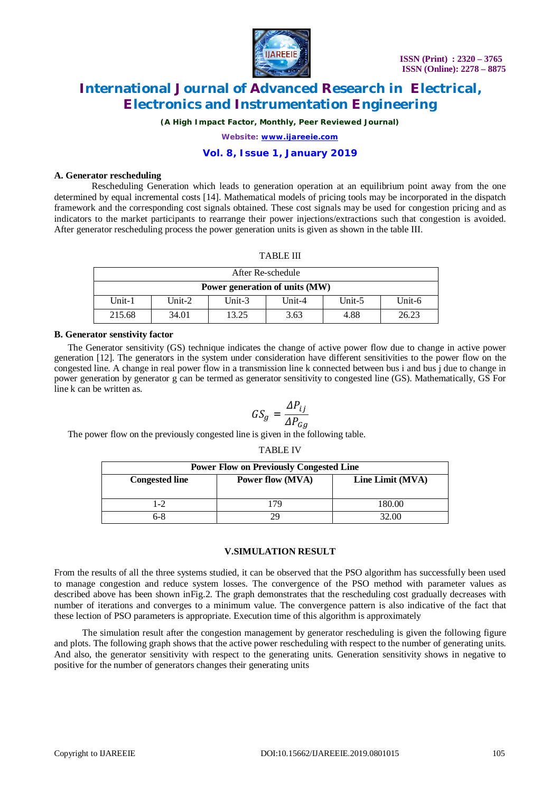

*(A High Impact Factor, Monthly, Peer Reviewed Journal)*

*Website: [www.ijareeie.com](http://www.ijareeie.com)*

### **Vol. 8, Issue 1, January 2019**

#### **A. Generator rescheduling**

 Rescheduling Generation which leads to generation operation at an equilibrium point away from the one determined by equal incremental costs [14]. Mathematical models of pricing tools may be incorporated in the dispatch framework and the corresponding cost signals obtained. These cost signals may be used for congestion pricing and as indicators to the market participants to rearrange their power injections/extractions such that congestion is avoided. After generator rescheduling process the power generation units is given as shown in the table III.

| After Re-schedule              |           |           |           |        |           |
|--------------------------------|-----------|-----------|-----------|--------|-----------|
| Power generation of units (MW) |           |           |           |        |           |
| Unit-1                         | Unit- $2$ | Unit- $3$ | Unit- $4$ | Unit-5 | Unit- $6$ |
| 215.68                         | 34.01     | 13.25     | 3.63      | 4.88   | 26.23     |

#### **B. Generator senstivity factor**

The Generator sensitivity (GS) technique indicates the change of active power flow due to change in active power generation [12]. The generators in the system under consideration have different sensitivities to the power flow on the congested line. A change in real power flow in a transmission line k connected between bus i and bus j due to change in power generation by generator g can be termed as generator sensitivity to congested line (GS). Mathematically, GS For line k can be written as.

$$
GS_g = \frac{\Delta P_{ij}}{\Delta P_{Gg}}
$$

TARI F IV

The power flow on the previously congested line is given in the following table.

| . <i>. .</i><br><b>Power Flow on Previously Congested Line</b> |                         |                  |  |  |  |
|----------------------------------------------------------------|-------------------------|------------------|--|--|--|
| <b>Congested line</b>                                          | <b>Power flow (MVA)</b> | Line Limit (MVA) |  |  |  |
| $1-2$                                                          | 179                     | 180.00           |  |  |  |
| 6-8                                                            |                         | 32.00            |  |  |  |

#### **V.SIMULATION RESULT**

From the results of all the three systems studied, it can be observed that the PSO algorithm has successfully been used to manage congestion and reduce system losses. The convergence of the PSO method with parameter values as described above has been shown inFig.2. The graph demonstrates that the rescheduling cost gradually decreases with number of iterations and converges to a minimum value. The convergence pattern is also indicative of the fact that these lection of PSO parameters is appropriate. Execution time of this algorithm is approximately

 The simulation result after the congestion management by generator rescheduling is given the following figure and plots. The following graph shows that the active power rescheduling with respect to the number of generating units. And also, the generator sensitivity with respect to the generating units. Generation sensitivity shows in negative to positive for the number of generators changes their generating units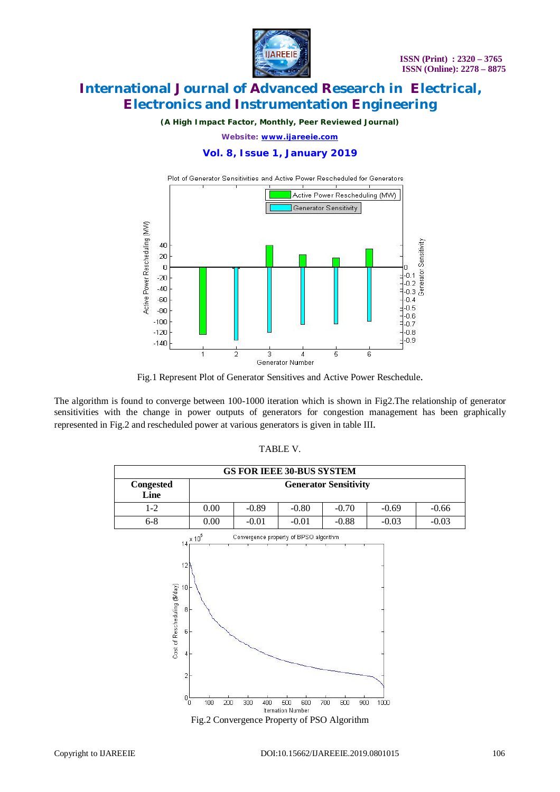

*(A High Impact Factor, Monthly, Peer Reviewed Journal)*

*Website: [www.ijareeie.com](http://www.ijareeie.com)*

### **Vol. 8, Issue 1, January 2019**



Fig.1 Represent Plot of Generator Sensitives and Active Power Reschedule.

The algorithm is found to converge between 100-1000 iteration which is shown in Fig2.The relationship of generator sensitivities with the change in power outputs of generators for congestion management has been graphically represented in Fig.2 and rescheduled power at various generators is given in table III.



### TABLE V.